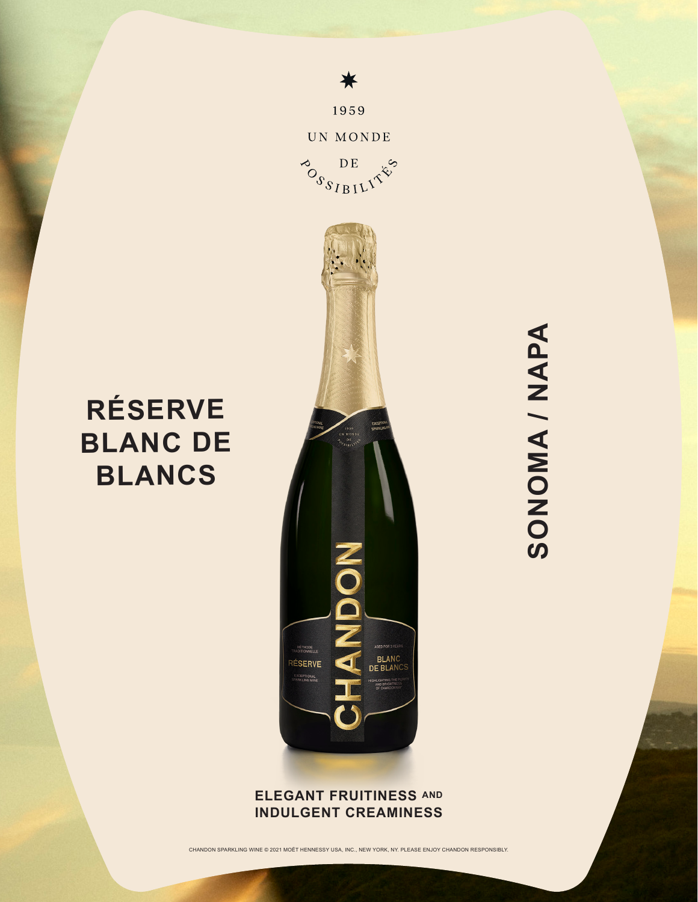

¥

1959

**RÉSERVE**

**BLANC DE** 

**BLANCS**

## **ELEGANT FRUITINESS AND INDULGENT CREAMINESS**

CHANDON SPARKLING WINE © 2021 MOËT HENNESSY USA, INC., NEW YORK, NY. PLEASE ENJOY CHANDON RESPONSIBLY.

SONOMA / NAPA **SONOMA / NAPA**